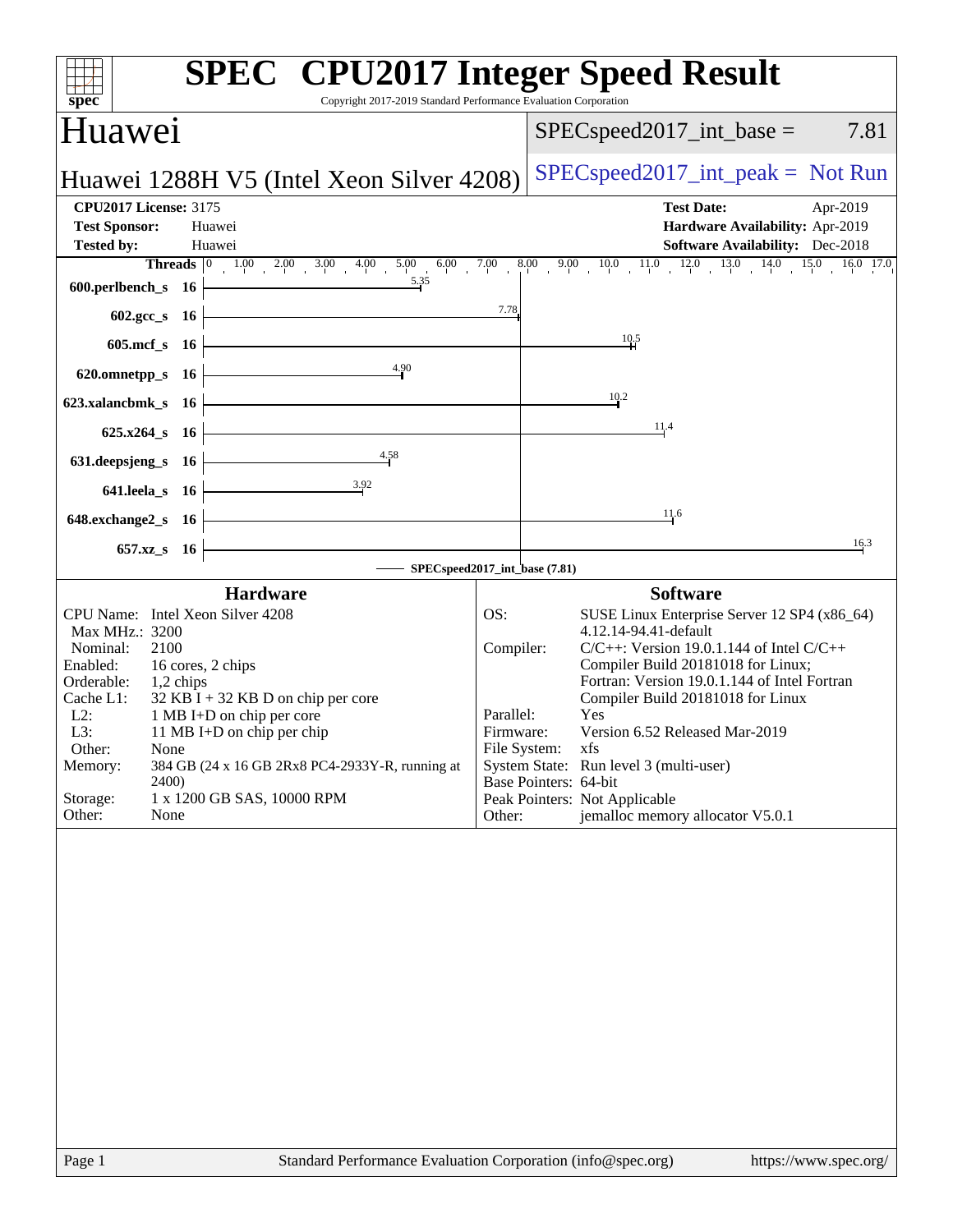| $spec^*$                                                                                                                                                                                                                                                                                                                                                                                                                       | <b>SPEC<sup>®</sup></b> CPU2017 Integer Speed Result<br>Copyright 2017-2019 Standard Performance Evaluation Corporation                                                                                                                                                                                                                                                                                                                                                                                        |
|--------------------------------------------------------------------------------------------------------------------------------------------------------------------------------------------------------------------------------------------------------------------------------------------------------------------------------------------------------------------------------------------------------------------------------|----------------------------------------------------------------------------------------------------------------------------------------------------------------------------------------------------------------------------------------------------------------------------------------------------------------------------------------------------------------------------------------------------------------------------------------------------------------------------------------------------------------|
| <b>Huawei</b>                                                                                                                                                                                                                                                                                                                                                                                                                  | $SPEC speed2017\_int\_base =$<br>7.81                                                                                                                                                                                                                                                                                                                                                                                                                                                                          |
| Huawei 1288H V5 (Intel Xeon Silver 4208)                                                                                                                                                                                                                                                                                                                                                                                       | $SPEC speed2017\_int\_peak = Not Run$                                                                                                                                                                                                                                                                                                                                                                                                                                                                          |
| <b>CPU2017 License: 3175</b>                                                                                                                                                                                                                                                                                                                                                                                                   | <b>Test Date:</b><br>Apr-2019                                                                                                                                                                                                                                                                                                                                                                                                                                                                                  |
| <b>Test Sponsor:</b><br>Huawei                                                                                                                                                                                                                                                                                                                                                                                                 | Hardware Availability: Apr-2019                                                                                                                                                                                                                                                                                                                                                                                                                                                                                |
| <b>Tested by:</b><br>Huawei                                                                                                                                                                                                                                                                                                                                                                                                    | <b>Software Availability:</b> Dec-2018                                                                                                                                                                                                                                                                                                                                                                                                                                                                         |
| $600. perlbench_s$ 16 $\longleftarrow$                                                                                                                                                                                                                                                                                                                                                                                         | <b>Threads</b> $\begin{bmatrix} 0 & 1.00 & 2.00 & 3.00 & 4.00 & 5.00 & 6.00 & 7.00 & 8.00 & 9.00 & 10.0 & 11.0 & 12.0 & 13.0 & 14.0 & 15.0 & 16.0 & 17.0 \end{bmatrix}$                                                                                                                                                                                                                                                                                                                                        |
| $602.\text{gcc}\simeq 16$                                                                                                                                                                                                                                                                                                                                                                                                      | 7.78                                                                                                                                                                                                                                                                                                                                                                                                                                                                                                           |
| $605 \text{.mcf}\,$ s $16$ –                                                                                                                                                                                                                                                                                                                                                                                                   | $\frac{10.5}{4}$                                                                                                                                                                                                                                                                                                                                                                                                                                                                                               |
| 620.omnetpp_s 16 $\frac{4.90}{4}$                                                                                                                                                                                                                                                                                                                                                                                              |                                                                                                                                                                                                                                                                                                                                                                                                                                                                                                                |
| 623.xalancbmk_s 16 $\vdash$                                                                                                                                                                                                                                                                                                                                                                                                    | 10.2                                                                                                                                                                                                                                                                                                                                                                                                                                                                                                           |
| $625.x264_s$ 16                                                                                                                                                                                                                                                                                                                                                                                                                | 11.4                                                                                                                                                                                                                                                                                                                                                                                                                                                                                                           |
| $631. \text{deepsjeng_s}$ $16$<br>$\frac{4.58}{1}$                                                                                                                                                                                                                                                                                                                                                                             |                                                                                                                                                                                                                                                                                                                                                                                                                                                                                                                |
| 641.leela_s 16 $\frac{3.92}{1}$                                                                                                                                                                                                                                                                                                                                                                                                |                                                                                                                                                                                                                                                                                                                                                                                                                                                                                                                |
| $648$ .exchange $2_s$ 16                                                                                                                                                                                                                                                                                                                                                                                                       | 11.6                                                                                                                                                                                                                                                                                                                                                                                                                                                                                                           |
| $657.xz$ 8 16                                                                                                                                                                                                                                                                                                                                                                                                                  | 16.3                                                                                                                                                                                                                                                                                                                                                                                                                                                                                                           |
|                                                                                                                                                                                                                                                                                                                                                                                                                                | SPECspeed2017_int_base (7.81)                                                                                                                                                                                                                                                                                                                                                                                                                                                                                  |
| <b>Hardware</b>                                                                                                                                                                                                                                                                                                                                                                                                                | <b>Software</b>                                                                                                                                                                                                                                                                                                                                                                                                                                                                                                |
| CPU Name: Intel Xeon Silver 4208<br>Max MHz.: 3200<br>Nominal:<br>2100<br>Enabled:<br>16 cores, 2 chips<br>Orderable:<br>1,2 chips<br>Cache L1:<br>$32$ KB I + 32 KB D on chip per core<br>$L2$ :<br>1 MB I+D on chip per core<br>L3:<br>11 MB I+D on chip per chip<br>Other:<br>None<br>384 GB (24 x 16 GB 2Rx8 PC4-2933Y-R, running at<br>Memory:<br><b>2400</b><br>Storage:<br>1 x 1200 GB SAS, 10000 RPM<br>Other:<br>None | SUSE Linux Enterprise Server 12 SP4 (x86_64)<br>OS:<br>4.12.14-94.41-default<br>Compiler:<br>$C/C++$ : Version 19.0.1.144 of Intel $C/C++$<br>Compiler Build 20181018 for Linux;<br>Fortran: Version 19.0.1.144 of Intel Fortran<br>Compiler Build 20181018 for Linux<br>Yes<br>Parallel:<br>Version 6.52 Released Mar-2019<br>Firmware:<br>File System: xfs<br>System State: Run level 3 (multi-user)<br>Base Pointers: 64-bit<br>Peak Pointers: Not Applicable<br>jemalloc memory allocator V5.0.1<br>Other: |
| $D_{900}$ 1                                                                                                                                                                                                                                                                                                                                                                                                                    | Standard Performance Evaluation Corporation (info@spec.org)<br>http://www.                                                                                                                                                                                                                                                                                                                                                                                                                                     |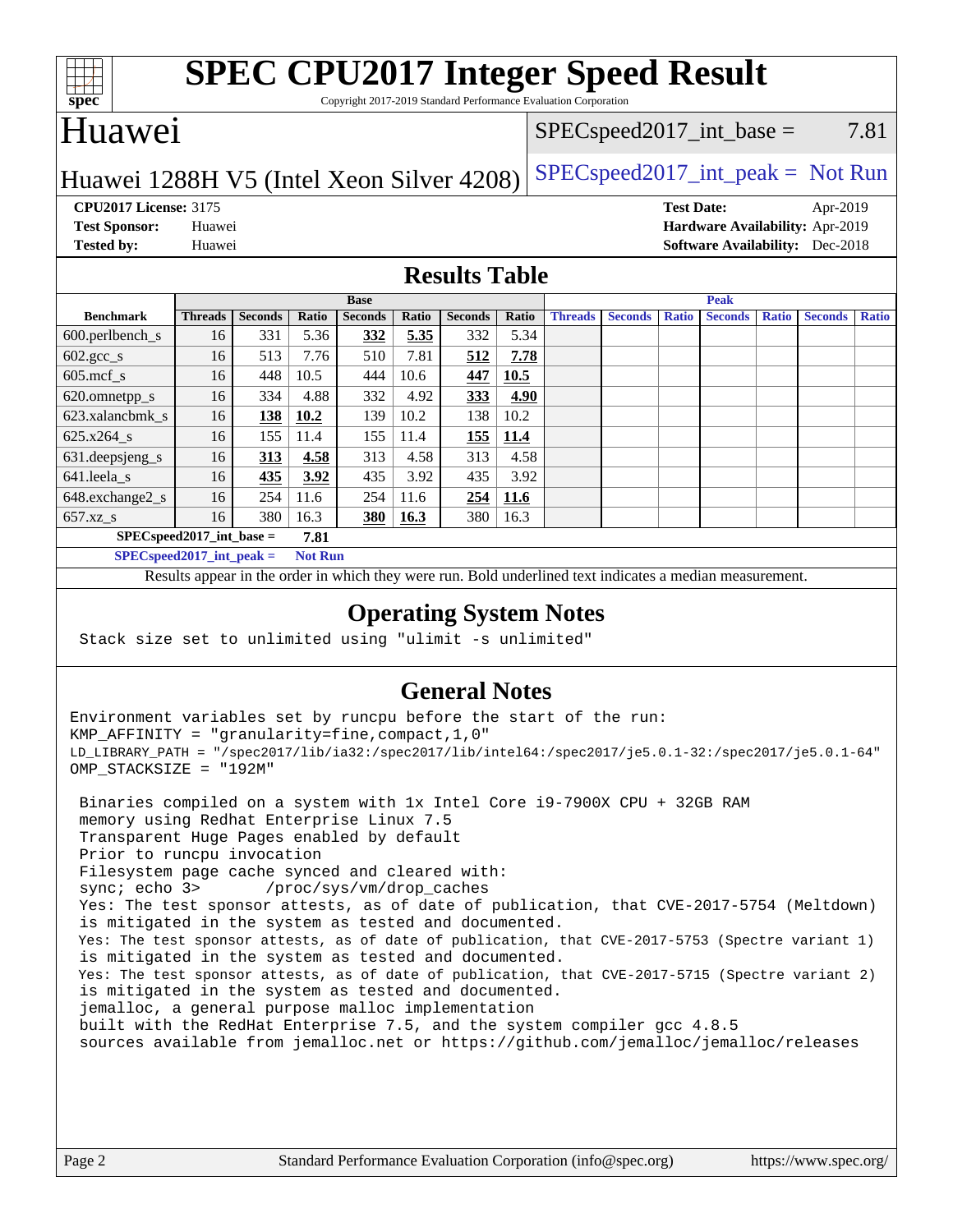

## **[SPEC CPU2017 Integer Speed Result](http://www.spec.org/auto/cpu2017/Docs/result-fields.html#SPECCPU2017IntegerSpeedResult)**

Copyright 2017-2019 Standard Performance Evaluation Corporation

## Huawei

#### $SPEC speed2017\_int\_base = 7.81$

### Huawei 1288H V5 (Intel Xeon Silver  $4208$ )  $SPEC speed2017\_int\_peak = Not Run$

**[CPU2017 License:](http://www.spec.org/auto/cpu2017/Docs/result-fields.html#CPU2017License)** 3175 **[Test Date:](http://www.spec.org/auto/cpu2017/Docs/result-fields.html#TestDate)** Apr-2019 **[Test Sponsor:](http://www.spec.org/auto/cpu2017/Docs/result-fields.html#TestSponsor)** Huawei **[Hardware Availability:](http://www.spec.org/auto/cpu2017/Docs/result-fields.html#HardwareAvailability)** Apr-2019 **[Tested by:](http://www.spec.org/auto/cpu2017/Docs/result-fields.html#Testedby)** Huawei **[Software Availability:](http://www.spec.org/auto/cpu2017/Docs/result-fields.html#SoftwareAvailability)** Dec-2018

#### **[Results Table](http://www.spec.org/auto/cpu2017/Docs/result-fields.html#ResultsTable)**

|                            | <b>Base</b>    |                |       |                |       | <b>Peak</b>    |       |                |                |              |                |              |                |              |
|----------------------------|----------------|----------------|-------|----------------|-------|----------------|-------|----------------|----------------|--------------|----------------|--------------|----------------|--------------|
| <b>Benchmark</b>           | <b>Threads</b> | <b>Seconds</b> | Ratio | <b>Seconds</b> | Ratio | <b>Seconds</b> | Ratio | <b>Threads</b> | <b>Seconds</b> | <b>Ratio</b> | <b>Seconds</b> | <b>Ratio</b> | <b>Seconds</b> | <b>Ratio</b> |
| 600.perlbench_s            | 16             | 331            | 5.36  | 332            | 5.35  | 332            | 5.34  |                |                |              |                |              |                |              |
| $602.\text{gcc}\_\text{s}$ | 16             | 513            | 7.76  | 510            | 7.81  | 512            | 7.78  |                |                |              |                |              |                |              |
| $605$ .mcf s               | 16             | 448            | 10.5  | 444            | 10.6  | 447            | 10.5  |                |                |              |                |              |                |              |
| 620.omnetpp_s              | 16             | 334            | 4.88  | 332            | 4.92  | 333            | 4.90  |                |                |              |                |              |                |              |
| 623.xalancbmk s            | 16             | 138            | 10.2  | 139            | 10.2  | 138            | 10.2  |                |                |              |                |              |                |              |
| $625.x264_s$               | 16             | 155            | 11.4  | 155            | 11.4  | 155            | 11.4  |                |                |              |                |              |                |              |
| 631.deepsjeng_s            | 16             | 313            | 4.58  | 313            | 4.58  | 313            | 4.58  |                |                |              |                |              |                |              |
| 641.leela s                | 16             | 435            | 3.92  | 435            | 3.92  | 435            | 3.92  |                |                |              |                |              |                |              |
| 648.exchange2_s            | 16             | 254            | 11.6  | 254            | 11.6  | 254            | 11.6  |                |                |              |                |              |                |              |
| $657.xz$ s                 | 16             | 380            | 16.3  | <b>380</b>     | 16.3  | 380            | 16.3  |                |                |              |                |              |                |              |
| $SPECspeed2017$ int base = |                |                | 7.81  |                |       |                |       |                |                |              |                |              |                |              |

**[SPECspeed2017\\_int\\_peak =](http://www.spec.org/auto/cpu2017/Docs/result-fields.html#SPECspeed2017intpeak) Not Run**

Results appear in the [order in which they were run.](http://www.spec.org/auto/cpu2017/Docs/result-fields.html#RunOrder) Bold underlined text [indicates a median measurement.](http://www.spec.org/auto/cpu2017/Docs/result-fields.html#Median)

#### **[Operating System Notes](http://www.spec.org/auto/cpu2017/Docs/result-fields.html#OperatingSystemNotes)**

Stack size set to unlimited using "ulimit -s unlimited"

#### **[General Notes](http://www.spec.org/auto/cpu2017/Docs/result-fields.html#GeneralNotes)**

Environment variables set by runcpu before the start of the run: KMP\_AFFINITY = "granularity=fine,compact,1,0" LD\_LIBRARY\_PATH = "/spec2017/lib/ia32:/spec2017/lib/intel64:/spec2017/je5.0.1-32:/spec2017/je5.0.1-64" OMP\_STACKSIZE = "192M"

 Binaries compiled on a system with 1x Intel Core i9-7900X CPU + 32GB RAM memory using Redhat Enterprise Linux 7.5 Transparent Huge Pages enabled by default Prior to runcpu invocation Filesystem page cache synced and cleared with: sync; echo 3> /proc/sys/vm/drop\_caches Yes: The test sponsor attests, as of date of publication, that CVE-2017-5754 (Meltdown) is mitigated in the system as tested and documented. Yes: The test sponsor attests, as of date of publication, that CVE-2017-5753 (Spectre variant 1) is mitigated in the system as tested and documented. Yes: The test sponsor attests, as of date of publication, that CVE-2017-5715 (Spectre variant 2) is mitigated in the system as tested and documented. jemalloc, a general purpose malloc implementation built with the RedHat Enterprise 7.5, and the system compiler gcc 4.8.5 sources available from jemalloc.net or <https://github.com/jemalloc/jemalloc/releases>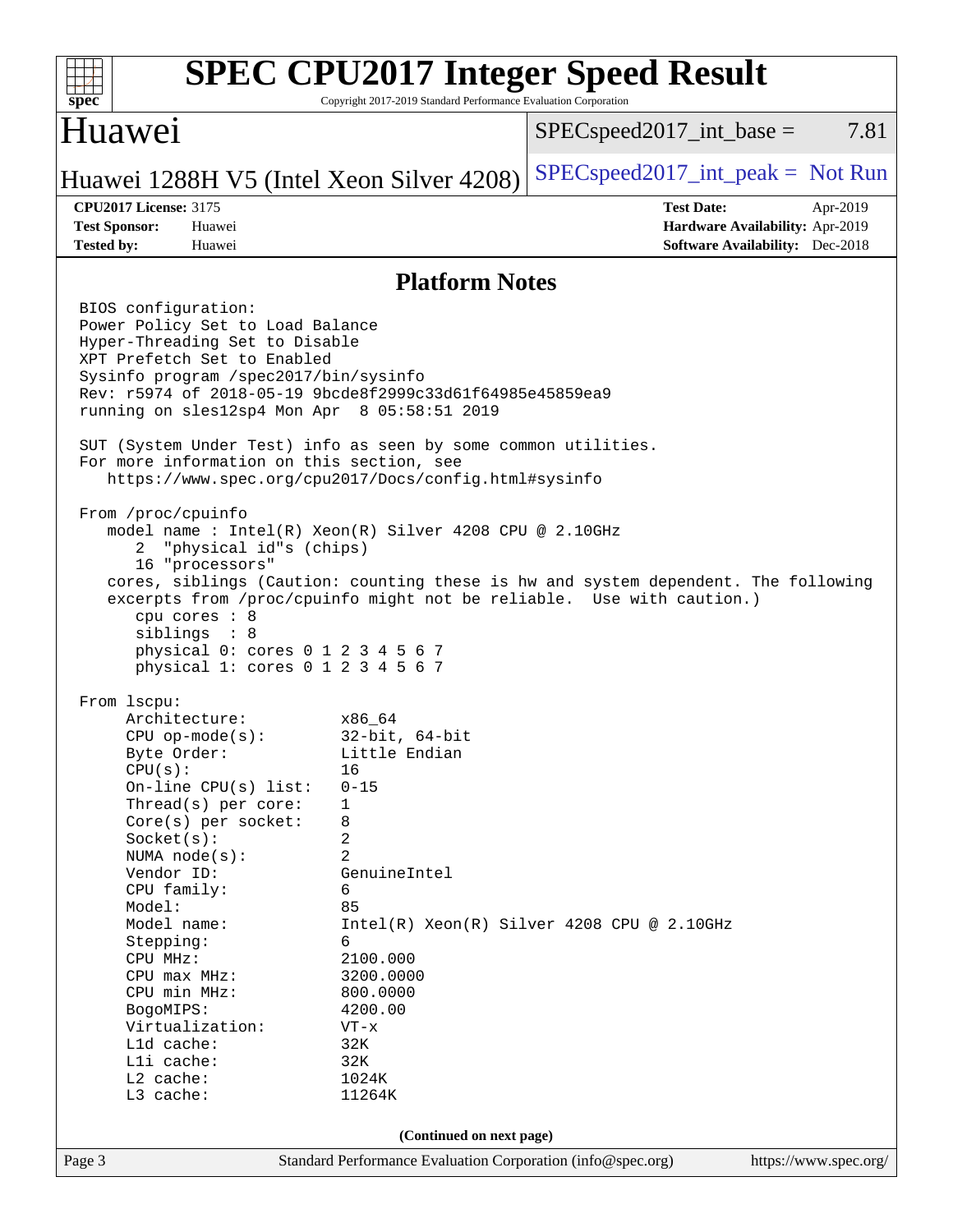| spec <sup>®</sup>                                                                                                                                                                                                                                                                                                                                                                                                                                                                                                                                                             | <b>SPEC CPU2017 Integer Speed Result</b><br>Copyright 2017-2019 Standard Performance Evaluation Corporation                                                 |      |
|-------------------------------------------------------------------------------------------------------------------------------------------------------------------------------------------------------------------------------------------------------------------------------------------------------------------------------------------------------------------------------------------------------------------------------------------------------------------------------------------------------------------------------------------------------------------------------|-------------------------------------------------------------------------------------------------------------------------------------------------------------|------|
| Huawei                                                                                                                                                                                                                                                                                                                                                                                                                                                                                                                                                                        | $SPEC speed2017\_int\_base =$                                                                                                                               | 7.81 |
| Huawei 1288H V5 (Intel Xeon Silver 4208)                                                                                                                                                                                                                                                                                                                                                                                                                                                                                                                                      | $SPEC speed2017\_int\_peak = Not Run$                                                                                                                       |      |
| <b>CPU2017 License: 3175</b><br><b>Test Sponsor:</b><br>Huawei<br><b>Tested by:</b><br>Huawei                                                                                                                                                                                                                                                                                                                                                                                                                                                                                 | <b>Test Date:</b><br>Apr-2019<br>Hardware Availability: Apr-2019<br><b>Software Availability:</b> Dec-2018                                                  |      |
|                                                                                                                                                                                                                                                                                                                                                                                                                                                                                                                                                                               | <b>Platform Notes</b>                                                                                                                                       |      |
| BIOS configuration:<br>Power Policy Set to Load Balance<br>Hyper-Threading Set to Disable<br>XPT Prefetch Set to Enabled<br>Sysinfo program /spec2017/bin/sysinfo<br>Rev: r5974 of 2018-05-19 9bcde8f2999c33d61f64985e45859ea9<br>running on sles12sp4 Mon Apr 8 05:58:51 2019<br>SUT (System Under Test) info as seen by some common utilities.<br>For more information on this section, see<br>https://www.spec.org/cpu2017/Docs/config.html#sysinfo                                                                                                                        |                                                                                                                                                             |      |
| From /proc/cpuinfo<br>model name : Intel(R) Xeon(R) Silver 4208 CPU @ 2.10GHz<br>"physical id"s (chips)<br>2<br>16 "processors"<br>cpu cores : 8<br>siblings : 8<br>physical 0: cores 0 1 2 3 4 5 6 7<br>physical 1: cores 0 1 2 3 4 5 6 7                                                                                                                                                                                                                                                                                                                                    | cores, siblings (Caution: counting these is hw and system dependent. The following<br>excerpts from /proc/cpuinfo might not be reliable. Use with caution.) |      |
| From 1scpu:<br>Architecture:<br>x86 64<br>$CPU$ op-mode( $s$ ):<br>Byte Order:<br>CPU(s):<br>16<br>$0 - 15$<br>On-line $CPU(s)$ list:<br>Thread(s) per core:<br>1<br>Core(s) per socket:<br>8<br>2<br>Socket(s):<br>$\overline{2}$<br>NUMA $node(s)$ :<br>Vendor ID:<br>CPU family:<br>6<br>Model:<br>85<br>Model name:<br>6<br>Stepping:<br>2100.000<br>CPU MHz:<br>3200.0000<br>$CPU$ max $MHz$ :<br>CPU min MHz:<br>800.0000<br>4200.00<br>BogoMIPS:<br>Virtualization:<br>$VT - x$<br>L1d cache:<br>32K<br>Lli cache:<br>32K<br>L2 cache:<br>1024K<br>L3 cache:<br>11264K | $32$ -bit, $64$ -bit<br>Little Endian<br>GenuineIntel<br>$Intel(R) Xeon(R) Silver 4208 CPU @ 2.10GHz$                                                       |      |
|                                                                                                                                                                                                                                                                                                                                                                                                                                                                                                                                                                               | (Continued on next page)                                                                                                                                    |      |
| Page 3                                                                                                                                                                                                                                                                                                                                                                                                                                                                                                                                                                        | Standard Performance Evaluation Corporation (info@spec.org)<br>https://www.spec.org/                                                                        |      |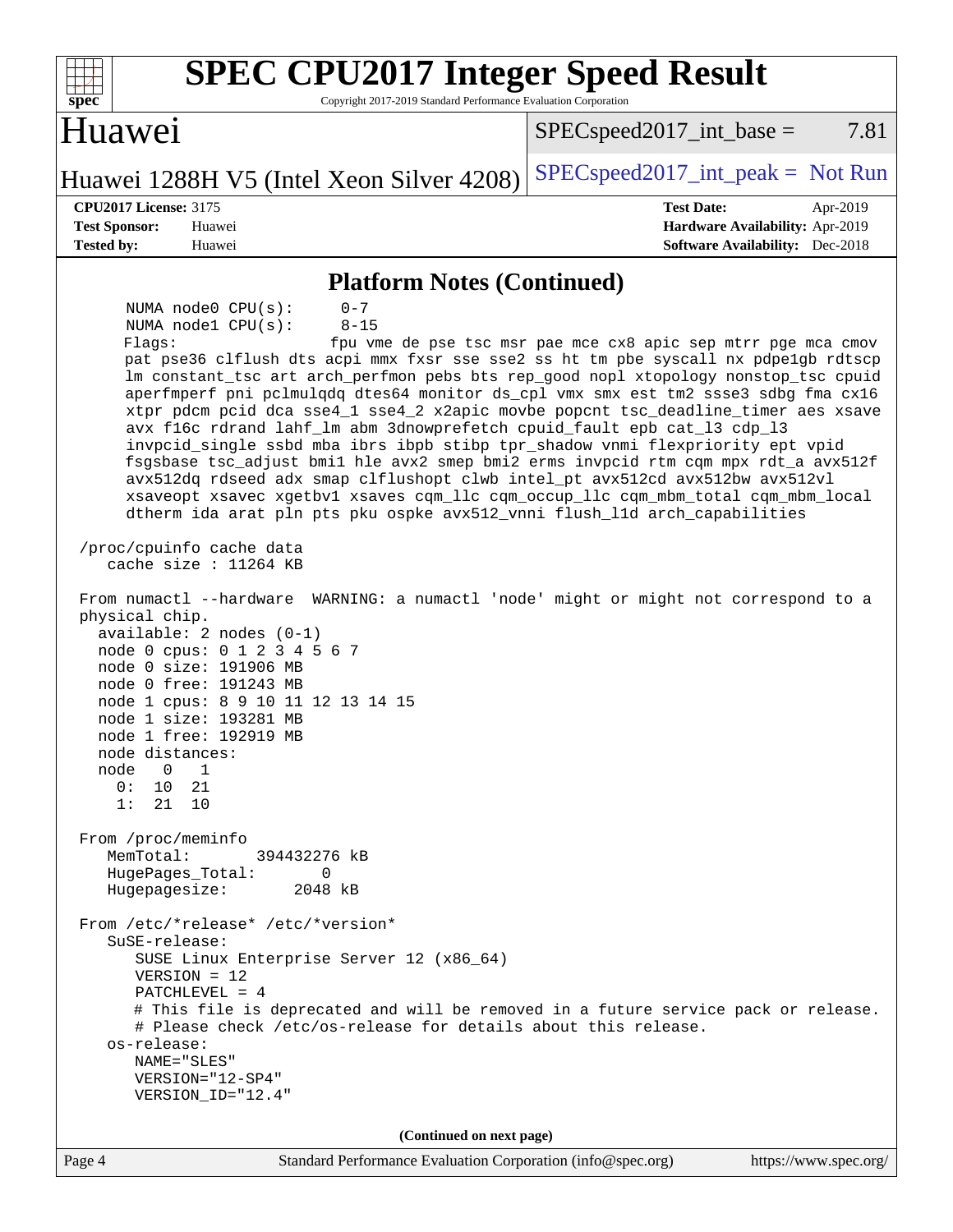| <b>SPEC CPU2017 Integer Speed Result</b><br>Copyright 2017-2019 Standard Performance Evaluation Corporation<br>$spec^*$                                                                                                                                                                                                                                                                                                                                                                                                                                                                                                                                                                                                                                                                                                                                                                                                                                                                                                                                                                                                                                                                                                                                                                                                                                                                                                                                                                                                                                                                                                                                                                                                                                                                                      |                                                                                                                               |
|--------------------------------------------------------------------------------------------------------------------------------------------------------------------------------------------------------------------------------------------------------------------------------------------------------------------------------------------------------------------------------------------------------------------------------------------------------------------------------------------------------------------------------------------------------------------------------------------------------------------------------------------------------------------------------------------------------------------------------------------------------------------------------------------------------------------------------------------------------------------------------------------------------------------------------------------------------------------------------------------------------------------------------------------------------------------------------------------------------------------------------------------------------------------------------------------------------------------------------------------------------------------------------------------------------------------------------------------------------------------------------------------------------------------------------------------------------------------------------------------------------------------------------------------------------------------------------------------------------------------------------------------------------------------------------------------------------------------------------------------------------------------------------------------------------------|-------------------------------------------------------------------------------------------------------------------------------|
| <b>Huawei</b>                                                                                                                                                                                                                                                                                                                                                                                                                                                                                                                                                                                                                                                                                                                                                                                                                                                                                                                                                                                                                                                                                                                                                                                                                                                                                                                                                                                                                                                                                                                                                                                                                                                                                                                                                                                                | 7.81<br>$SPEC speed2017\_int\_base =$                                                                                         |
| Huawei 1288H V5 (Intel Xeon Silver 4208)                                                                                                                                                                                                                                                                                                                                                                                                                                                                                                                                                                                                                                                                                                                                                                                                                                                                                                                                                                                                                                                                                                                                                                                                                                                                                                                                                                                                                                                                                                                                                                                                                                                                                                                                                                     | $SPEC speed2017\_int\_peak = Not Run$                                                                                         |
| <b>CPU2017 License: 3175</b><br><b>Test Sponsor:</b><br>Huawei<br><b>Tested by:</b><br>Huawei                                                                                                                                                                                                                                                                                                                                                                                                                                                                                                                                                                                                                                                                                                                                                                                                                                                                                                                                                                                                                                                                                                                                                                                                                                                                                                                                                                                                                                                                                                                                                                                                                                                                                                                | <b>Test Date:</b><br>Apr-2019<br>Hardware Availability: Apr-2019<br><b>Software Availability:</b> Dec-2018                    |
| <b>Platform Notes (Continued)</b>                                                                                                                                                                                                                                                                                                                                                                                                                                                                                                                                                                                                                                                                                                                                                                                                                                                                                                                                                                                                                                                                                                                                                                                                                                                                                                                                                                                                                                                                                                                                                                                                                                                                                                                                                                            |                                                                                                                               |
| NUMA node0 CPU(s):<br>$0 - 7$<br>NUMA nodel CPU(s):<br>$8 - 15$<br>Flagg:<br>pat pse36 clflush dts acpi mmx fxsr sse sse2 ss ht tm pbe syscall nx pdpelgb rdtscp<br>lm constant_tsc art arch_perfmon pebs bts rep_good nopl xtopology nonstop_tsc cpuid<br>aperfmperf pni pclmulqdq dtes64 monitor ds_cpl vmx smx est tm2 ssse3 sdbg fma cx16<br>xtpr pdcm pcid dca sse4_1 sse4_2 x2apic movbe popcnt tsc_deadline_timer aes xsave<br>avx f16c rdrand lahf_lm abm 3dnowprefetch cpuid_fault epb cat_13 cdp_13<br>invpcid_single ssbd mba ibrs ibpb stibp tpr_shadow vnmi flexpriority ept vpid<br>fsgsbase tsc_adjust bmil hle avx2 smep bmi2 erms invpcid rtm cqm mpx rdt_a avx512f<br>avx512dq rdseed adx smap clflushopt clwb intel_pt avx512cd avx512bw avx512vl<br>xsaveopt xsavec xgetbvl xsaves cqm_llc cqm_occup_llc cqm_mbm_total cqm_mbm_local<br>dtherm ida arat pln pts pku ospke avx512_vnni flush_lld arch_capabilities<br>/proc/cpuinfo cache data<br>cache size : 11264 KB<br>From numactl --hardware<br>physical chip.<br>$available: 2 nodes (0-1)$<br>node 0 cpus: 0 1 2 3 4 5 6 7<br>node 0 size: 191906 MB<br>node 0 free: 191243 MB<br>node 1 cpus: 8 9 10 11 12 13 14 15<br>node 1 size: 193281 MB<br>node 1 free: 192919 MB<br>node distances:<br>node<br>0<br>1<br>0:<br>10<br>21<br>1:<br>21<br>10<br>From /proc/meminfo<br>MemTotal:<br>394432276 kB<br>HugePages_Total:<br>0<br>Hugepagesize:<br>2048 kB<br>From /etc/*release* /etc/*version*<br>SuSE-release:<br>SUSE Linux Enterprise Server 12 (x86_64)<br>$VERSION = 12$<br>PATCHLEVEL = $4$<br># This file is deprecated and will be removed in a future service pack or release.<br># Please check /etc/os-release for details about this release.<br>os-release:<br>NAME="SLES"<br>VERSION="12-SP4"<br>VERSION_ID="12.4" | fpu vme de pse tsc msr pae mce cx8 apic sep mtrr pge mca cmov<br>WARNING: a numactl 'node' might or might not correspond to a |
| (Continued on next page)<br>Standard Performance Evaluation Corporation (info@spec.org)<br>Page 4                                                                                                                                                                                                                                                                                                                                                                                                                                                                                                                                                                                                                                                                                                                                                                                                                                                                                                                                                                                                                                                                                                                                                                                                                                                                                                                                                                                                                                                                                                                                                                                                                                                                                                            | https://www.spec.org/                                                                                                         |
|                                                                                                                                                                                                                                                                                                                                                                                                                                                                                                                                                                                                                                                                                                                                                                                                                                                                                                                                                                                                                                                                                                                                                                                                                                                                                                                                                                                                                                                                                                                                                                                                                                                                                                                                                                                                              |                                                                                                                               |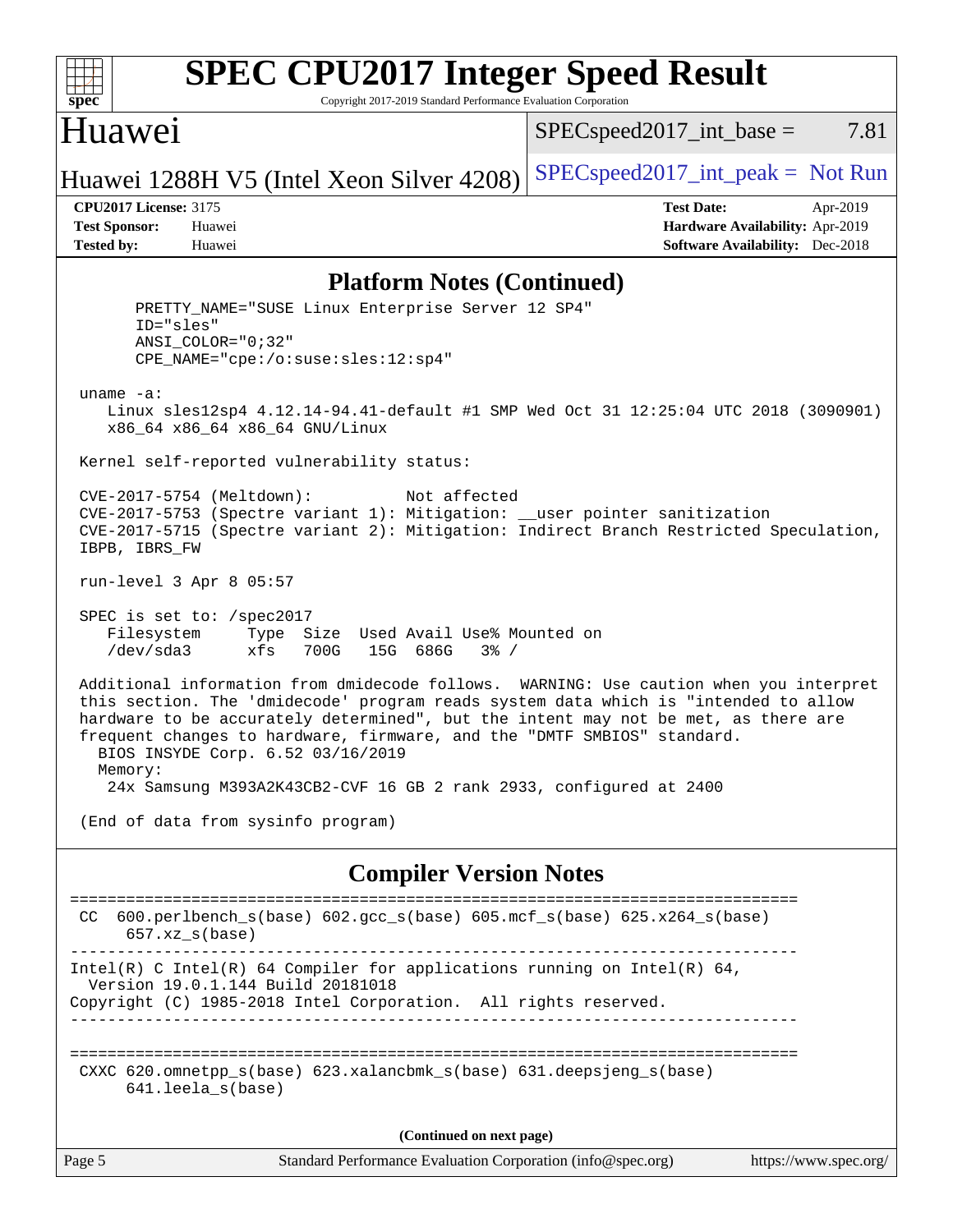

## **[SPEC CPU2017 Integer Speed Result](http://www.spec.org/auto/cpu2017/Docs/result-fields.html#SPECCPU2017IntegerSpeedResult)**

Copyright 2017-2019 Standard Performance Evaluation Corporation

### Huawei

 $SPEC speed2017\_int\_base = 7.81$ 

Huawei 1288H V5 (Intel Xeon Silver  $4208$ )  $SPEC speed2017\_int\_peak = Not Run$ 

**[CPU2017 License:](http://www.spec.org/auto/cpu2017/Docs/result-fields.html#CPU2017License)** 3175 **[Test Date:](http://www.spec.org/auto/cpu2017/Docs/result-fields.html#TestDate)** Apr-2019 **[Test Sponsor:](http://www.spec.org/auto/cpu2017/Docs/result-fields.html#TestSponsor)** Huawei **[Hardware Availability:](http://www.spec.org/auto/cpu2017/Docs/result-fields.html#HardwareAvailability)** Apr-2019 **[Tested by:](http://www.spec.org/auto/cpu2017/Docs/result-fields.html#Testedby)** Huawei **[Software Availability:](http://www.spec.org/auto/cpu2017/Docs/result-fields.html#SoftwareAvailability)** Dec-2018

#### **[Platform Notes \(Continued\)](http://www.spec.org/auto/cpu2017/Docs/result-fields.html#PlatformNotes)**

Page 5 Standard Performance Evaluation Corporation [\(info@spec.org\)](mailto:info@spec.org) <https://www.spec.org/> PRETTY\_NAME="SUSE Linux Enterprise Server 12 SP4" ID="sles" ANSI\_COLOR="0;32" CPE\_NAME="cpe:/o:suse:sles:12:sp4" uname -a: Linux sles12sp4 4.12.14-94.41-default #1 SMP Wed Oct 31 12:25:04 UTC 2018 (3090901) x86\_64 x86\_64 x86\_64 GNU/Linux Kernel self-reported vulnerability status: CVE-2017-5754 (Meltdown): Not affected CVE-2017-5753 (Spectre variant 1): Mitigation: \_\_user pointer sanitization CVE-2017-5715 (Spectre variant 2): Mitigation: Indirect Branch Restricted Speculation, IBPB, IBRS\_FW run-level 3 Apr 8 05:57 SPEC is set to: /spec2017 Filesystem Type Size Used Avail Use% Mounted on /dev/sda3 xfs 700G 15G 686G 3% / Additional information from dmidecode follows. WARNING: Use caution when you interpret this section. The 'dmidecode' program reads system data which is "intended to allow hardware to be accurately determined", but the intent may not be met, as there are frequent changes to hardware, firmware, and the "DMTF SMBIOS" standard. BIOS INSYDE Corp. 6.52 03/16/2019 Memory: 24x Samsung M393A2K43CB2-CVF 16 GB 2 rank 2933, configured at 2400 (End of data from sysinfo program) **[Compiler Version Notes](http://www.spec.org/auto/cpu2017/Docs/result-fields.html#CompilerVersionNotes)** ============================================================================== CC 600.perlbench\_s(base) 602.gcc\_s(base) 605.mcf\_s(base) 625.x264\_s(base)  $657.xz$  s(base) ------------------------------------------------------------------------------ Intel(R) C Intel(R) 64 Compiler for applications running on Intel(R)  $64$ , Version 19.0.1.144 Build 20181018 Copyright (C) 1985-2018 Intel Corporation. All rights reserved. ------------------------------------------------------------------------------ ============================================================================== CXXC 620.omnetpp\_s(base) 623.xalancbmk\_s(base) 631.deepsjeng\_s(base) 641.leela\_s(base) **(Continued on next page)**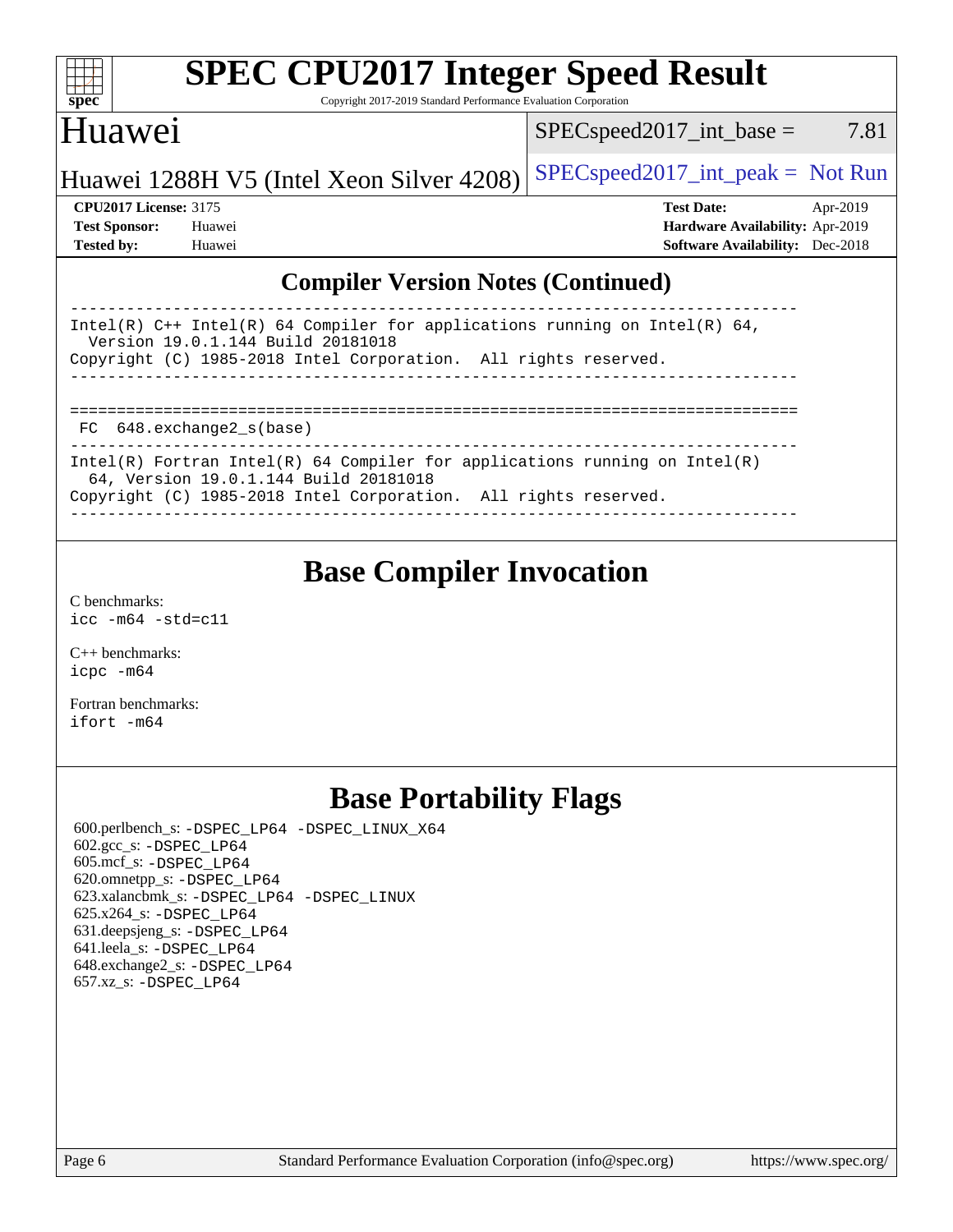| S<br>ne<br>I<br>Ľ |  |  |  |  |  |
|-------------------|--|--|--|--|--|

# **[SPEC CPU2017 Integer Speed Result](http://www.spec.org/auto/cpu2017/Docs/result-fields.html#SPECCPU2017IntegerSpeedResult)**

Copyright 2017-2019 Standard Performance Evaluation Corporation

## Huawei

 $SPEC speed2017\_int\_base = 7.81$ 

## Huawei 1288H V5 (Intel Xeon Silver  $4208$ ) [SPECspeed2017\\_int\\_peak =](http://www.spec.org/auto/cpu2017/Docs/result-fields.html#SPECspeed2017intpeak) Not Run

**[CPU2017 License:](http://www.spec.org/auto/cpu2017/Docs/result-fields.html#CPU2017License)** 3175 **[Test Date:](http://www.spec.org/auto/cpu2017/Docs/result-fields.html#TestDate)** Apr-2019 **[Test Sponsor:](http://www.spec.org/auto/cpu2017/Docs/result-fields.html#TestSponsor)** Huawei **[Hardware Availability:](http://www.spec.org/auto/cpu2017/Docs/result-fields.html#HardwareAvailability)** Apr-2019 **[Tested by:](http://www.spec.org/auto/cpu2017/Docs/result-fields.html#Testedby)** Huawei **[Software Availability:](http://www.spec.org/auto/cpu2017/Docs/result-fields.html#SoftwareAvailability)** Dec-2018

### **[Compiler Version Notes \(Continued\)](http://www.spec.org/auto/cpu2017/Docs/result-fields.html#CompilerVersionNotes)**

| Intel(R) $C++$ Intel(R) 64 Compiler for applications running on Intel(R) 64,<br>Version 19.0.1.144 Build 20181018<br>Copyright (C) 1985-2018 Intel Corporation. All rights reserved. |  |  |  |  |  |  |
|--------------------------------------------------------------------------------------------------------------------------------------------------------------------------------------|--|--|--|--|--|--|
|                                                                                                                                                                                      |  |  |  |  |  |  |
|                                                                                                                                                                                      |  |  |  |  |  |  |
|                                                                                                                                                                                      |  |  |  |  |  |  |
|                                                                                                                                                                                      |  |  |  |  |  |  |
|                                                                                                                                                                                      |  |  |  |  |  |  |
| FC 648. exchange2 s(base)                                                                                                                                                            |  |  |  |  |  |  |
|                                                                                                                                                                                      |  |  |  |  |  |  |
| Intel(R) Fortran Intel(R) 64 Compiler for applications running on Intel(R)<br>64, Version 19.0.1.144 Build 20181018                                                                  |  |  |  |  |  |  |
| Copyright (C) 1985-2018 Intel Corporation. All rights reserved.                                                                                                                      |  |  |  |  |  |  |
|                                                                                                                                                                                      |  |  |  |  |  |  |
|                                                                                                                                                                                      |  |  |  |  |  |  |

## **[Base Compiler Invocation](http://www.spec.org/auto/cpu2017/Docs/result-fields.html#BaseCompilerInvocation)**

[C benchmarks](http://www.spec.org/auto/cpu2017/Docs/result-fields.html#Cbenchmarks): [icc -m64 -std=c11](http://www.spec.org/cpu2017/results/res2019q2/cpu2017-20190428-12565.flags.html#user_CCbase_intel_icc_64bit_c11_33ee0cdaae7deeeab2a9725423ba97205ce30f63b9926c2519791662299b76a0318f32ddfffdc46587804de3178b4f9328c46fa7c2b0cd779d7a61945c91cd35)

[C++ benchmarks:](http://www.spec.org/auto/cpu2017/Docs/result-fields.html#CXXbenchmarks) [icpc -m64](http://www.spec.org/cpu2017/results/res2019q2/cpu2017-20190428-12565.flags.html#user_CXXbase_intel_icpc_64bit_4ecb2543ae3f1412ef961e0650ca070fec7b7afdcd6ed48761b84423119d1bf6bdf5cad15b44d48e7256388bc77273b966e5eb805aefd121eb22e9299b2ec9d9)

[Fortran benchmarks](http://www.spec.org/auto/cpu2017/Docs/result-fields.html#Fortranbenchmarks): [ifort -m64](http://www.spec.org/cpu2017/results/res2019q2/cpu2017-20190428-12565.flags.html#user_FCbase_intel_ifort_64bit_24f2bb282fbaeffd6157abe4f878425411749daecae9a33200eee2bee2fe76f3b89351d69a8130dd5949958ce389cf37ff59a95e7a40d588e8d3a57e0c3fd751)

## **[Base Portability Flags](http://www.spec.org/auto/cpu2017/Docs/result-fields.html#BasePortabilityFlags)**

 600.perlbench\_s: [-DSPEC\\_LP64](http://www.spec.org/cpu2017/results/res2019q2/cpu2017-20190428-12565.flags.html#b600.perlbench_s_basePORTABILITY_DSPEC_LP64) [-DSPEC\\_LINUX\\_X64](http://www.spec.org/cpu2017/results/res2019q2/cpu2017-20190428-12565.flags.html#b600.perlbench_s_baseCPORTABILITY_DSPEC_LINUX_X64) 602.gcc\_s: [-DSPEC\\_LP64](http://www.spec.org/cpu2017/results/res2019q2/cpu2017-20190428-12565.flags.html#suite_basePORTABILITY602_gcc_s_DSPEC_LP64) 605.mcf\_s: [-DSPEC\\_LP64](http://www.spec.org/cpu2017/results/res2019q2/cpu2017-20190428-12565.flags.html#suite_basePORTABILITY605_mcf_s_DSPEC_LP64) 620.omnetpp\_s: [-DSPEC\\_LP64](http://www.spec.org/cpu2017/results/res2019q2/cpu2017-20190428-12565.flags.html#suite_basePORTABILITY620_omnetpp_s_DSPEC_LP64) 623.xalancbmk\_s: [-DSPEC\\_LP64](http://www.spec.org/cpu2017/results/res2019q2/cpu2017-20190428-12565.flags.html#suite_basePORTABILITY623_xalancbmk_s_DSPEC_LP64) [-DSPEC\\_LINUX](http://www.spec.org/cpu2017/results/res2019q2/cpu2017-20190428-12565.flags.html#b623.xalancbmk_s_baseCXXPORTABILITY_DSPEC_LINUX) 625.x264\_s: [-DSPEC\\_LP64](http://www.spec.org/cpu2017/results/res2019q2/cpu2017-20190428-12565.flags.html#suite_basePORTABILITY625_x264_s_DSPEC_LP64) 631.deepsjeng\_s: [-DSPEC\\_LP64](http://www.spec.org/cpu2017/results/res2019q2/cpu2017-20190428-12565.flags.html#suite_basePORTABILITY631_deepsjeng_s_DSPEC_LP64) 641.leela\_s: [-DSPEC\\_LP64](http://www.spec.org/cpu2017/results/res2019q2/cpu2017-20190428-12565.flags.html#suite_basePORTABILITY641_leela_s_DSPEC_LP64) 648.exchange2\_s: [-DSPEC\\_LP64](http://www.spec.org/cpu2017/results/res2019q2/cpu2017-20190428-12565.flags.html#suite_basePORTABILITY648_exchange2_s_DSPEC_LP64) 657.xz\_s: [-DSPEC\\_LP64](http://www.spec.org/cpu2017/results/res2019q2/cpu2017-20190428-12565.flags.html#suite_basePORTABILITY657_xz_s_DSPEC_LP64)